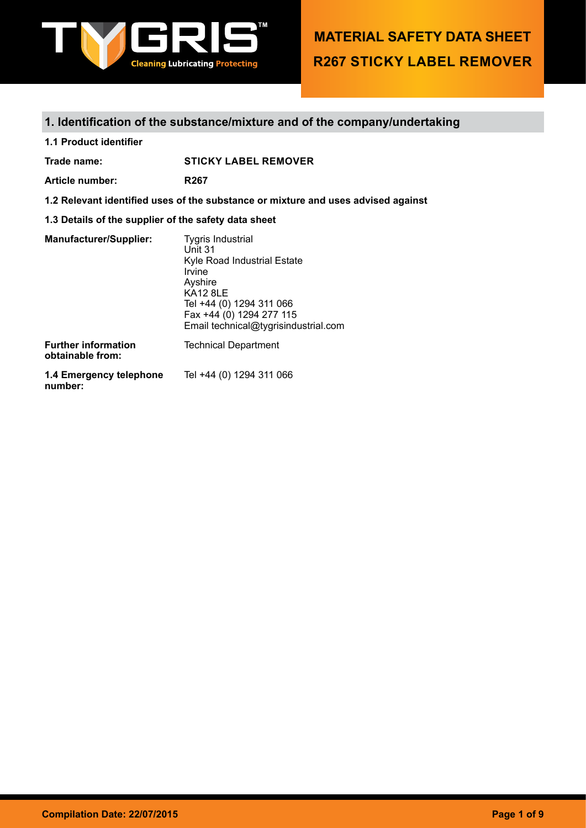

## **1. Identification of the substance/mixture and of the company/undertaking**

**1.1 Product identifier**

**Trade name: STICKY LABEL REMOVER**

**Article number: R267**

**1.2 Relevant identified uses of the substance or mixture and uses advised against**

**1.3 Details of the supplier of the safety data sheet**

| <b>Manufacturer/Supplier:</b>                  | <b>Tygris Industrial</b><br>Unit 31<br>Kyle Road Industrial Estate<br>Irvine<br>Ayshire<br><b>KA12 8LE</b><br>Tel +44 (0) 1294 311 066<br>Fax +44 (0) 1294 277 115 |
|------------------------------------------------|--------------------------------------------------------------------------------------------------------------------------------------------------------------------|
|                                                | Email technical@tygrisindustrial.com                                                                                                                               |
| <b>Further information</b><br>obtainable from: | <b>Technical Department</b>                                                                                                                                        |
| 4.4 Emarganau talanhana                        |                                                                                                                                                                    |

**1.4 Emergency telephone**  Tel +44 (0) 1294 311 066**number:**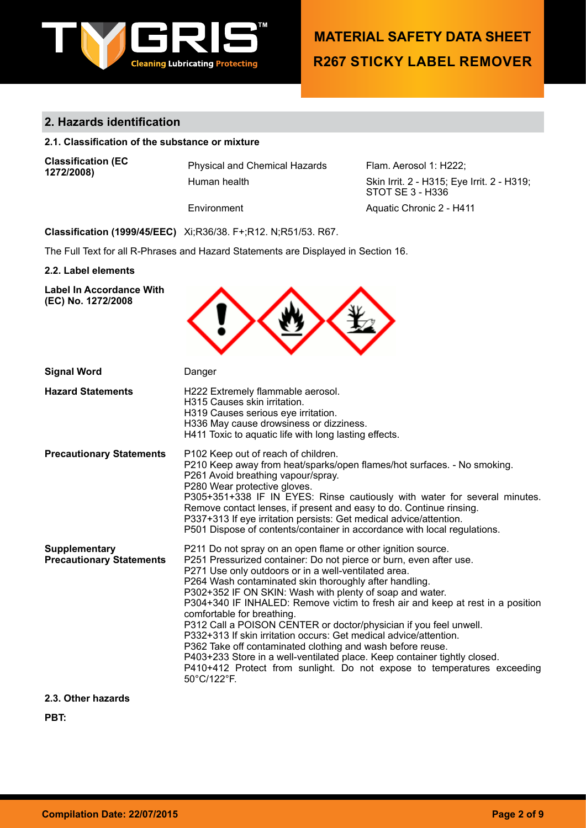

## **2. Hazards identification**

## **2.1. Classification of the substance or mixture**

**Classification (EC** 

Physical and Chemical Hazards Flam. Aerosol 1: H222;<br>Human health **Flame Communish** Skin Irrit. 2 - H315: Eve

Skin Irrit. 2 - H315; Eye Irrit. 2 - H319; STOT SE 3 - H336 Environment Aquatic Chronic 2 - H411

**Classification (1999/45/EEC)** Xi;R36/38. F+;R12. N;R51/53. R67.

The Full Text for all R-Phrases and Hazard Statements are Displayed in Section 16.

#### **2.2. Label elements**

| <b>Label In Accordance With</b><br>(EC) No. 1272/2008   |                                                                                                                                                                                                                                                                                                                                                                                                                                                                                                                                                                                                                                                                                                                                                                                                                 |
|---------------------------------------------------------|-----------------------------------------------------------------------------------------------------------------------------------------------------------------------------------------------------------------------------------------------------------------------------------------------------------------------------------------------------------------------------------------------------------------------------------------------------------------------------------------------------------------------------------------------------------------------------------------------------------------------------------------------------------------------------------------------------------------------------------------------------------------------------------------------------------------|
| <b>Signal Word</b>                                      | Danger                                                                                                                                                                                                                                                                                                                                                                                                                                                                                                                                                                                                                                                                                                                                                                                                          |
| <b>Hazard Statements</b>                                | H222 Extremely flammable aerosol.<br>H315 Causes skin irritation.<br>H319 Causes serious eye irritation.<br>H336 May cause drowsiness or dizziness.<br>H411 Toxic to aquatic life with long lasting effects.                                                                                                                                                                                                                                                                                                                                                                                                                                                                                                                                                                                                    |
| <b>Precautionary Statements</b>                         | P102 Keep out of reach of children.<br>P210 Keep away from heat/sparks/open flames/hot surfaces. - No smoking.<br>P261 Avoid breathing vapour/spray.<br>P280 Wear protective gloves.<br>P305+351+338 IF IN EYES: Rinse cautiously with water for several minutes.<br>Remove contact lenses, if present and easy to do. Continue rinsing.<br>P337+313 If eye irritation persists: Get medical advice/attention.<br>P501 Dispose of contents/container in accordance with local regulations.                                                                                                                                                                                                                                                                                                                      |
| <b>Supplementary</b><br><b>Precautionary Statements</b> | P211 Do not spray on an open flame or other ignition source.<br>P251 Pressurized container: Do not pierce or burn, even after use.<br>P271 Use only outdoors or in a well-ventilated area.<br>P264 Wash contaminated skin thoroughly after handling.<br>P302+352 IF ON SKIN: Wash with plenty of soap and water.<br>P304+340 IF INHALED: Remove victim to fresh air and keep at rest in a position<br>comfortable for breathing.<br>P312 Call a POISON CENTER or doctor/physician if you feel unwell.<br>P332+313 If skin irritation occurs: Get medical advice/attention.<br>P362 Take off contaminated clothing and wash before reuse.<br>P403+233 Store in a well-ventilated place. Keep container tightly closed.<br>P410+412 Protect from sunlight. Do not expose to temperatures exceeding<br>50°C/122°F. |

**2.3. Other hazards**

**PBT:**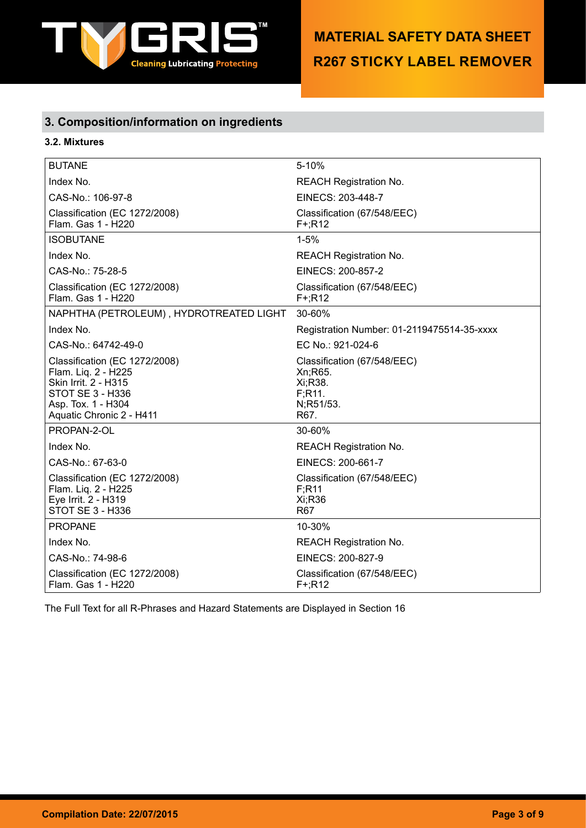

## **3. Composition/information on ingredients**

## **3.2. Mixtures**

| <b>BUTANE</b>                                                                                                                                                    | $5 - 10%$                                                                         |
|------------------------------------------------------------------------------------------------------------------------------------------------------------------|-----------------------------------------------------------------------------------|
| Index No.                                                                                                                                                        | <b>REACH Registration No.</b>                                                     |
| CAS-No.: 106-97-8                                                                                                                                                | EINECS: 203-448-7                                                                 |
| Classification (EC 1272/2008)<br>Flam. Gas 1 - H220                                                                                                              | Classification (67/548/EEC)<br>$F+;R12$                                           |
| <b>ISOBUTANE</b>                                                                                                                                                 | $1 - 5%$                                                                          |
| Index No.                                                                                                                                                        | <b>REACH Registration No.</b>                                                     |
| CAS-No.: 75-28-5                                                                                                                                                 | EINECS: 200-857-2                                                                 |
| Classification (EC 1272/2008)<br>Flam. Gas 1 - H220                                                                                                              | Classification (67/548/EEC)<br>$F+$ ;R12                                          |
| NAPHTHA (PETROLEUM), HYDROTREATED LIGHT                                                                                                                          | 30-60%                                                                            |
| Index No.                                                                                                                                                        | Registration Number: 01-2119475514-35-xxxx                                        |
| CAS-No.: 64742-49-0                                                                                                                                              | EC No.: 921-024-6                                                                 |
| Classification (EC 1272/2008)<br>Flam. Liq. 2 - H225<br><b>Skin Irrit. 2 - H315</b><br><b>STOT SE 3 - H336</b><br>Asp. Tox. 1 - H304<br>Aquatic Chronic 2 - H411 | Classification (67/548/EEC)<br>Xn; R65.<br>Xi:R38.<br>F:R11.<br>N;R51/53.<br>R67. |
| PROPAN-2-OL                                                                                                                                                      | 30-60%                                                                            |
| Index No.                                                                                                                                                        | REACH Registration No.                                                            |
| CAS-No.: 67-63-0                                                                                                                                                 | EINECS: 200-661-7                                                                 |
| Classification (EC 1272/2008)<br>Flam. Liq. 2 - H225<br>Eye Irrit. 2 - H319<br>STOT SE 3 - H336                                                                  | Classification (67/548/EEC)<br>F:R11<br>Xi:R36<br><b>R67</b>                      |
| <b>PROPANE</b>                                                                                                                                                   | 10-30%                                                                            |
| Index No.                                                                                                                                                        | <b>REACH Registration No.</b>                                                     |
| CAS-No.: 74-98-6                                                                                                                                                 | EINECS: 200-827-9                                                                 |
| Classification (EC 1272/2008)<br>Flam. Gas 1 - H220                                                                                                              | Classification (67/548/EEC)<br>$F^+$ ;R12                                         |

The Full Text for all R-Phrases and Hazard Statements are Displayed in Section 16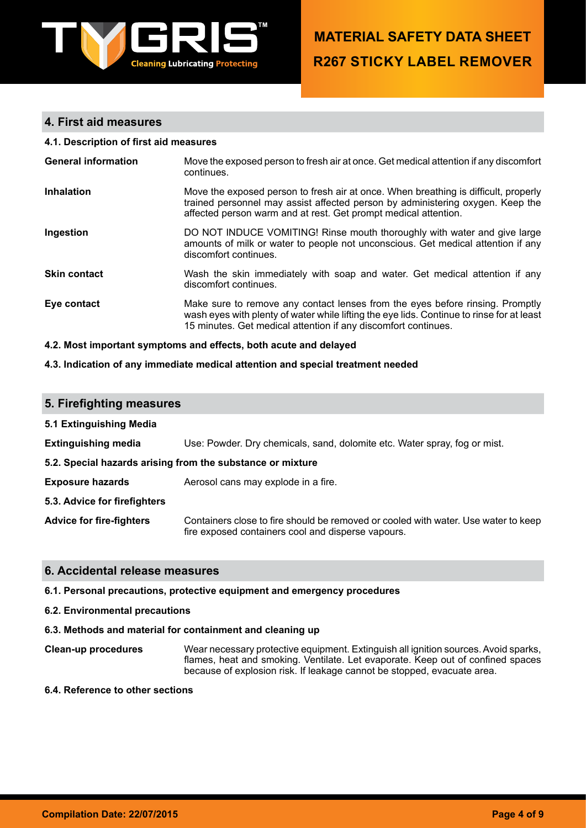

## **4. First aid measures**

#### **4.1. Description of first aid measures**

| <b>General information</b> | Move the exposed person to fresh air at once. Get medical attention if any discomfort<br>continues.                                                                                                                                          |
|----------------------------|----------------------------------------------------------------------------------------------------------------------------------------------------------------------------------------------------------------------------------------------|
| <b>Inhalation</b>          | Move the exposed person to fresh air at once. When breathing is difficult, properly<br>trained personnel may assist affected person by administering oxygen. Keep the<br>affected person warm and at rest. Get prompt medical attention.     |
| Ingestion                  | DO NOT INDUCE VOMITING! Rinse mouth thoroughly with water and give large<br>amounts of milk or water to people not unconscious. Get medical attention if any<br>discomfort continues.                                                        |
| <b>Skin contact</b>        | Wash the skin immediately with soap and water. Get medical attention if any<br>discomfort continues.                                                                                                                                         |
| Eye contact                | Make sure to remove any contact lenses from the eyes before rinsing. Promptly<br>wash eyes with plenty of water while lifting the eye lids. Continue to rinse for at least<br>15 minutes. Get medical attention if any discomfort continues. |

#### **4.2. Most important symptoms and effects, both acute and delayed**

### **4.3. Indication of any immediate medical attention and special treatment needed**

### **5. Firefighting measures**

| 5.1 Extinguishing Media                                    |                                                                                                                                          |  |  |
|------------------------------------------------------------|------------------------------------------------------------------------------------------------------------------------------------------|--|--|
| <b>Extinguishing media</b>                                 | Use: Powder. Dry chemicals, sand, dolomite etc. Water spray, fog or mist.                                                                |  |  |
| 5.2. Special hazards arising from the substance or mixture |                                                                                                                                          |  |  |
| <b>Exposure hazards</b>                                    | Aerosol cans may explode in a fire.                                                                                                      |  |  |
| 5.3. Advice for firefighters                               |                                                                                                                                          |  |  |
| <b>Advice for fire-fighters</b>                            | Containers close to fire should be removed or cooled with water. Use water to keep<br>fire exposed containers cool and disperse vapours. |  |  |

## **6. Accidental release measures**

#### **6.1. Personal precautions, protective equipment and emergency procedures**

**6.2. Environmental precautions**

## **6.3. Methods and material for containment and cleaning up**

**Clean-up procedures** Wear necessary protective equipment. Extinguish all ignition sources. Avoid sparks, flames, heat and smoking. Ventilate. Let evaporate. Keep out of confined spaces because of explosion risk. If leakage cannot be stopped, evacuate area.

## **6.4. Reference to other sections**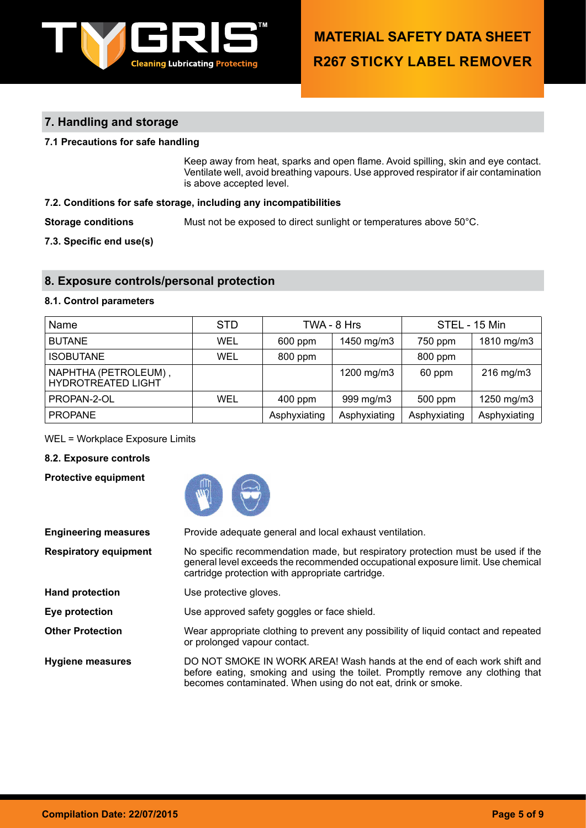

## **7. Handling and storage**

## **7.1 Precautions for safe handling**

Keep away from heat, sparks and open flame. Avoid spilling, skin and eye contact. Ventilate well, avoid breathing vapours. Use approved respirator if air contamination is above accepted level.

## **7.2. Conditions for safe storage, including any incompatibilities**

**Storage conditions** Must not be exposed to direct sunlight or temperatures above 50°C.

**7.3. Specific end use(s)**

## **8. Exposure controls/personal protection**

### **8.1. Control parameters**

| Name                                              | <b>STD</b> |              | TWA - 8 Hrs  |              | STEL - 15 Min  |
|---------------------------------------------------|------------|--------------|--------------|--------------|----------------|
| <b>BUTANE</b>                                     | WEL        | 600 ppm      | 1450 mg/m3   | 750 ppm      | 1810 mg/m3     |
| <b>ISOBUTANE</b>                                  | WEL        | 800 ppm      |              | 800 ppm      |                |
| NAPHTHA (PETROLEUM),<br><b>HYDROTREATED LIGHT</b> |            |              | 1200 mg/m3   | 60 ppm       | $216$ mg/m $3$ |
| PROPAN-2-OL                                       | WEL        | $400$ ppm    | 999 mg/m3    | 500 ppm      | 1250 mg/m3     |
| <b>PROPANE</b>                                    |            | Asphyxiating | Asphyxiating | Asphyxiating | Asphyxiating   |

WEL = Workplace Exposure Limits

## **8.2. Exposure controls**

**Protective equipment**



| <b>Engineering measures</b>  | Provide adequate general and local exhaust ventilation.                                                                                                                                                                   |
|------------------------------|---------------------------------------------------------------------------------------------------------------------------------------------------------------------------------------------------------------------------|
| <b>Respiratory equipment</b> | No specific recommendation made, but respiratory protection must be used if the<br>general level exceeds the recommended occupational exposure limit. Use chemical<br>cartridge protection with appropriate cartridge.    |
| <b>Hand protection</b>       | Use protective gloves.                                                                                                                                                                                                    |
| Eye protection               | Use approved safety goggles or face shield.                                                                                                                                                                               |
| <b>Other Protection</b>      | Wear appropriate clothing to prevent any possibility of liquid contact and repeated<br>or prolonged vapour contact.                                                                                                       |
| <b>Hygiene measures</b>      | DO NOT SMOKE IN WORK AREA! Wash hands at the end of each work shift and<br>before eating, smoking and using the toilet. Promptly remove any clothing that<br>becomes contaminated. When using do not eat, drink or smoke. |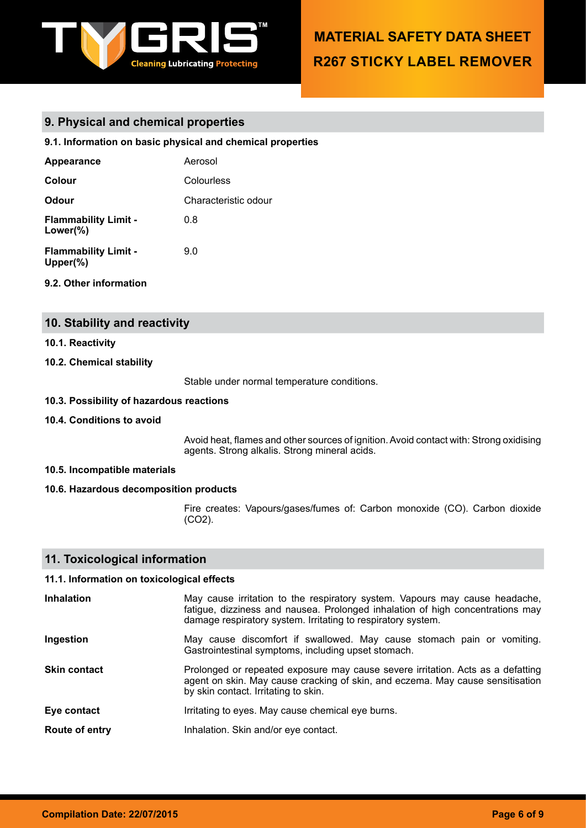

## **9. Physical and chemical properties**

## **9.1. Information on basic physical and chemical properties**

| <b>Appearance</b>                           | Aerosol              |
|---------------------------------------------|----------------------|
| Colour                                      | Colourless           |
| Odour                                       | Characteristic odour |
| <b>Flammability Limit -</b><br>Lower(%)     | 0.8                  |
| <b>Flammability Limit -</b><br>Upper $(\%)$ | 9.0                  |

## **9.2. Other information**

## **10. Stability and reactivity**

### **10.1. Reactivity**

## **10.2. Chemical stability**

Stable under normal temperature conditions.

#### **10.3. Possibility of hazardous reactions**

### **10.4. Conditions to avoid**

Avoid heat, flames and other sources of ignition. Avoid contact with: Strong oxidising agents. Strong alkalis. Strong mineral acids.

## **10.5. Incompatible materials**

#### **10.6. Hazardous decomposition products**

Fire creates: Vapours/gases/fumes of: Carbon monoxide (CO). Carbon dioxide (CO2).

## **11. Toxicological information**

## **11.1. Information on toxicological effects**

| <b>Inhalation</b>   | May cause irritation to the respiratory system. Vapours may cause headache,<br>fatigue, dizziness and nausea. Prolonged inhalation of high concentrations may<br>damage respiratory system. Irritating to respiratory system. |
|---------------------|-------------------------------------------------------------------------------------------------------------------------------------------------------------------------------------------------------------------------------|
| Ingestion           | May cause discomfort if swallowed. May cause stomach pain or vomiting.<br>Gastrointestinal symptoms, including upset stomach.                                                                                                 |
| <b>Skin contact</b> | Prolonged or repeated exposure may cause severe irritation. Acts as a defatting<br>agent on skin. May cause cracking of skin, and eczema. May cause sensitisation<br>by skin contact. Irritating to skin.                     |
| Eye contact         | Irritating to eyes. May cause chemical eye burns.                                                                                                                                                                             |
| Route of entry      | Inhalation. Skin and/or eye contact.                                                                                                                                                                                          |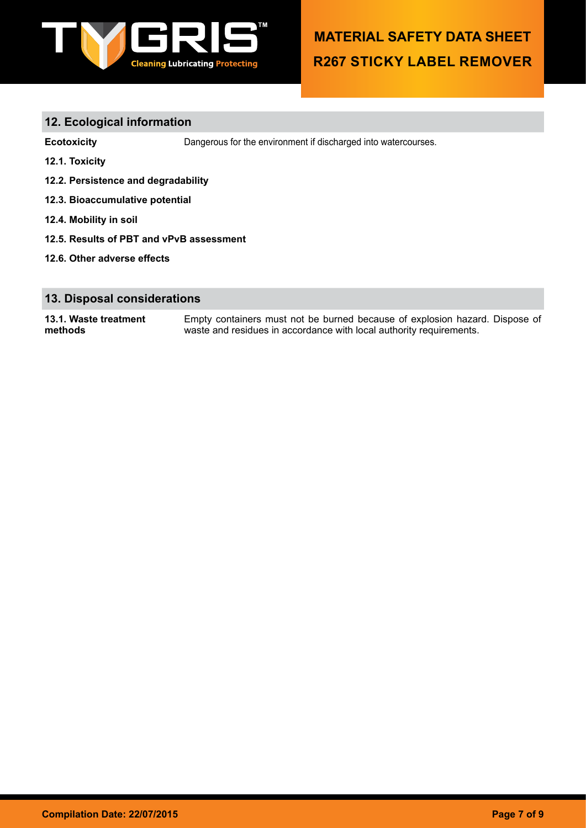

## **12. Ecological information**

**Ecotoxicity** Dangerous for the environment if discharged into watercourses.

- **12.1. Toxicity**
- **12.2. Persistence and degradability**
- **12.3. Bioaccumulative potential**
- **12.4. Mobility in soil**
- **12.5. Results of PBT and vPvB assessment**
- **12.6. Other adverse effects**

## **13. Disposal considerations**

**13.1. Waste treatment methods** Empty containers must not be burned because of explosion hazard. Dispose of waste and residues in accordance with local authority requirements.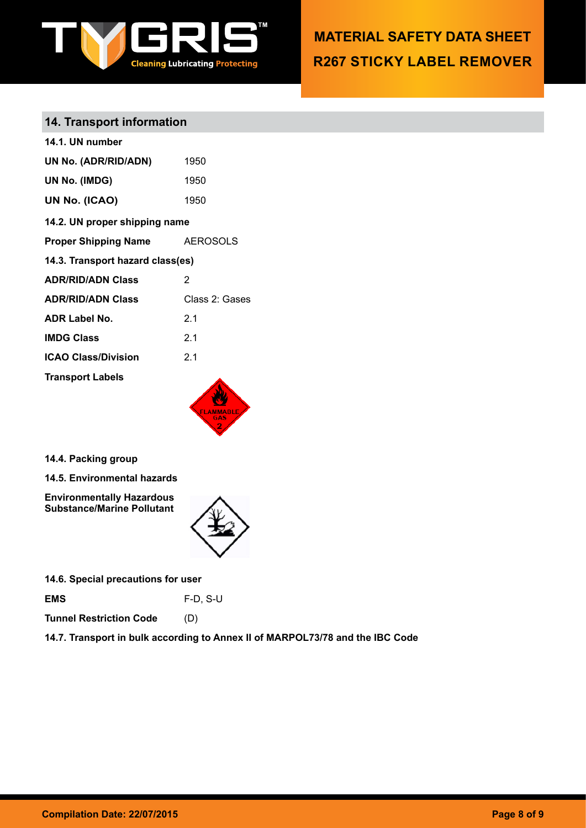

## **14. Transport information**

| 14.1. UN number                  |                 |
|----------------------------------|-----------------|
| UN No. (ADR/RID/ADN)             | 1950            |
| UN No. (IMDG)                    | 1950            |
| UN No. (ICAO)                    | 1950            |
| 14.2. UN proper shipping name    |                 |
| <b>Proper Shipping Name</b>      | <b>AEROSOLS</b> |
| 14.3. Transport hazard class(es) |                 |
| <b>ADR/RID/ADN Class</b>         | 2               |
| <b>ADR/RID/ADN Class</b>         | Class 2: Gases  |
| <b>ADR Label No.</b>             | 2.1             |
| <b>IMDG Class</b>                | 21              |
| <b>ICAO Class/Division</b>       | 2.1             |
| <b>Transport Labels</b>          |                 |
|                                  |                 |
|                                  |                 |

**14.4. Packing group**

**14.5. Environmental hazards**

**Environmentally Hazardous Substance/Marine Pollutant**



**14.6. Special precautions for user**

**EMS** F-D, S-U

**Tunnel Restriction Code** (D)

**14.7. Transport in bulk according to Annex II of MARPOL73/78 and the IBC Code**